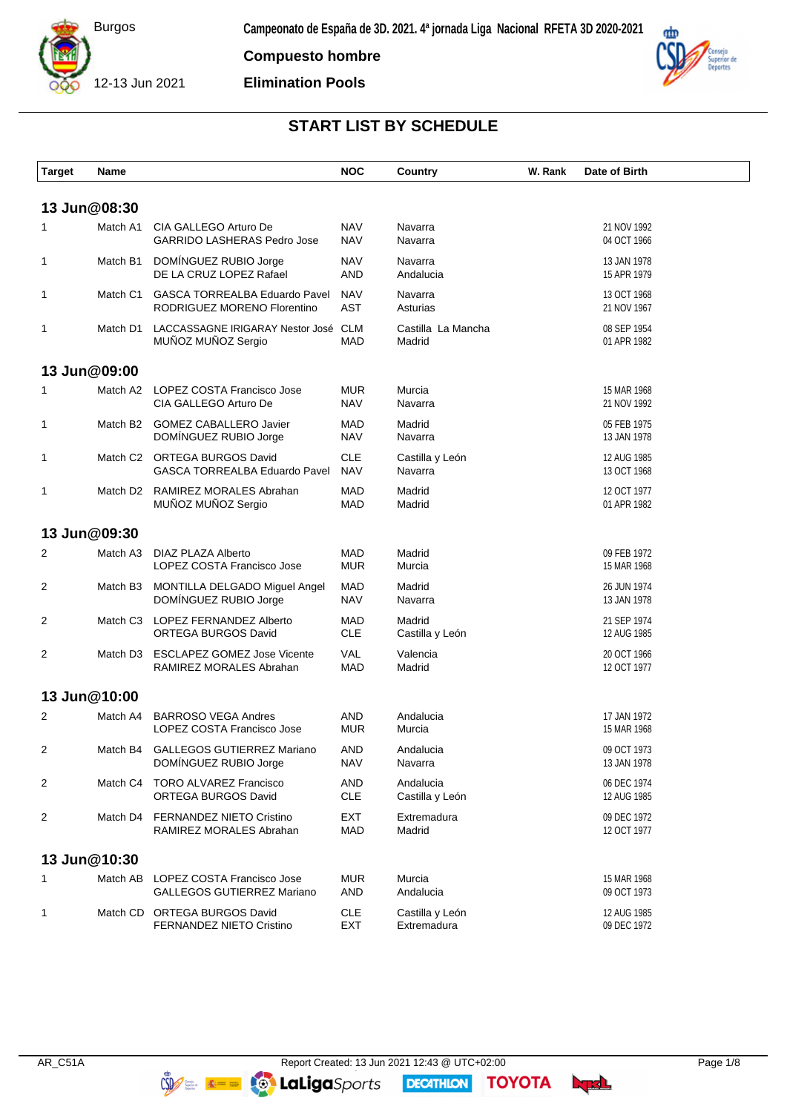

**Compuesto hombre**

**Elimination Pools**



# **START LIST BY SCHEDULE**

| <b>Target</b> | Name         |                                                                          | <b>NOC</b>               | Country                        | W. Rank | Date of Birth              |
|---------------|--------------|--------------------------------------------------------------------------|--------------------------|--------------------------------|---------|----------------------------|
|               | 13 Jun@08:30 |                                                                          |                          |                                |         |                            |
| 1             | Match A1     | CIA GALLEGO Arturo De<br><b>GARRIDO LASHERAS Pedro Jose</b>              | <b>NAV</b><br><b>NAV</b> | Navarra<br>Navarra             |         | 21 NOV 1992<br>04 OCT 1966 |
| 1             | Match B1     | DOMINGUEZ RUBIO Jorge<br>DE LA CRUZ LOPEZ Rafael                         | <b>NAV</b><br>AND        | Navarra<br>Andalucia           |         | 13 JAN 1978<br>15 APR 1979 |
| $\mathbf 1$   | Match C1     | <b>GASCA TORREALBA Eduardo Pavel</b><br>RODRIGUEZ MORENO Florentino      | <b>NAV</b><br><b>AST</b> | Navarra<br>Asturias            |         | 13 OCT 1968<br>21 NOV 1967 |
| 1             | Match D1     | LACCASSAGNE IRIGARAY Nestor José CLM<br>MUÑOZ MUÑOZ Sergio               | <b>MAD</b>               | Castilla La Mancha<br>Madrid   |         | 08 SEP 1954<br>01 APR 1982 |
|               | 13 Jun@09:00 |                                                                          |                          |                                |         |                            |
| 1             | Match A2     | LOPEZ COSTA Francisco Jose<br>CIA GALLEGO Arturo De                      | <b>MUR</b><br><b>NAV</b> | Murcia<br>Navarra              |         | 15 MAR 1968<br>21 NOV 1992 |
| 1             | Match B2     | <b>GOMEZ CABALLERO Javier</b><br>DOMÍNGUEZ RUBIO Jorge                   | <b>MAD</b><br><b>NAV</b> | Madrid<br>Navarra              |         | 05 FEB 1975<br>13 JAN 1978 |
| 1             | Match C2     | ORTEGA BURGOS David<br>GASCA TORREALBA Eduardo Pavel                     | <b>CLE</b><br><b>NAV</b> | Castilla y León<br>Navarra     |         | 12 AUG 1985<br>13 OCT 1968 |
| $\mathbf 1$   |              | Match D2 RAMIREZ MORALES Abrahan<br>MUÑOZ MUÑOZ Sergio                   | <b>MAD</b><br><b>MAD</b> | Madrid<br>Madrid               |         | 12 OCT 1977<br>01 APR 1982 |
|               | 13 Jun@09:30 |                                                                          |                          |                                |         |                            |
| 2             | Match A3     | DIAZ PLAZA Alberto<br>LOPEZ COSTA Francisco Jose                         | <b>MAD</b><br><b>MUR</b> | Madrid<br>Murcia               |         | 09 FEB 1972<br>15 MAR 1968 |
| 2             | Match B3     | MONTILLA DELGADO Miguel Angel<br>DOMINGUEZ RUBIO Jorge                   | <b>MAD</b><br><b>NAV</b> | Madrid<br>Navarra              |         | 26 JUN 1974<br>13 JAN 1978 |
| 2             | Match C3     | LOPEZ FERNANDEZ Alberto<br>ORTEGA BURGOS David                           | <b>MAD</b><br><b>CLE</b> | Madrid<br>Castilla y León      |         | 21 SEP 1974<br>12 AUG 1985 |
| 2             | Match D3     | <b>ESCLAPEZ GOMEZ Jose Vicente</b><br>RAMIREZ MORALES Abrahan            | <b>VAL</b><br><b>MAD</b> | Valencia<br>Madrid             |         | 20 OCT 1966<br>12 OCT 1977 |
|               | 13 Jun@10:00 |                                                                          |                          |                                |         |                            |
| 2             | Match A4     | <b>BARROSO VEGA Andres</b><br>LOPEZ COSTA Francisco Jose                 | AND<br><b>MUR</b>        | Andalucia<br>Murcia            |         | 17 JAN 1972<br>15 MAR 1968 |
| 2             |              | Match B4 GALLEGOS GUTIERREZ Mariano<br>DOMÍNGUEZ RUBIO Jorge             | AND<br><b>NAV</b>        | Andalucia<br>Navarra           |         | 09 OCT 1973<br>13 JAN 1978 |
| 2             | Match C4     | <b>TORO ALVAREZ Francisco</b><br>ORTEGA BURGOS David                     | AND<br><b>CLE</b>        | Andalucia<br>Castilla y León   |         | 06 DEC 1974<br>12 AUG 1985 |
| 2             |              | Match D4 FERNANDEZ NIETO Cristino<br>RAMIREZ MORALES Abrahan             | EXT<br><b>MAD</b>        | Extremadura<br>Madrid          |         | 09 DEC 1972<br>12 OCT 1977 |
|               | 13 Jun@10:30 |                                                                          |                          |                                |         |                            |
| 1             |              | Match AB LOPEZ COSTA Francisco Jose<br><b>GALLEGOS GUTIERREZ Mariano</b> | <b>MUR</b><br>AND        | Murcia<br>Andalucia            |         | 15 MAR 1968<br>09 OCT 1973 |
| 1             |              | Match CD ORTEGA BURGOS David<br>FERNANDEZ NIETO Cristino                 | <b>CLE</b><br>EXT        | Castilla y León<br>Extremadura |         | 12 AUG 1985<br>09 DEC 1972 |

**DECATHION** 

**TOYOTA**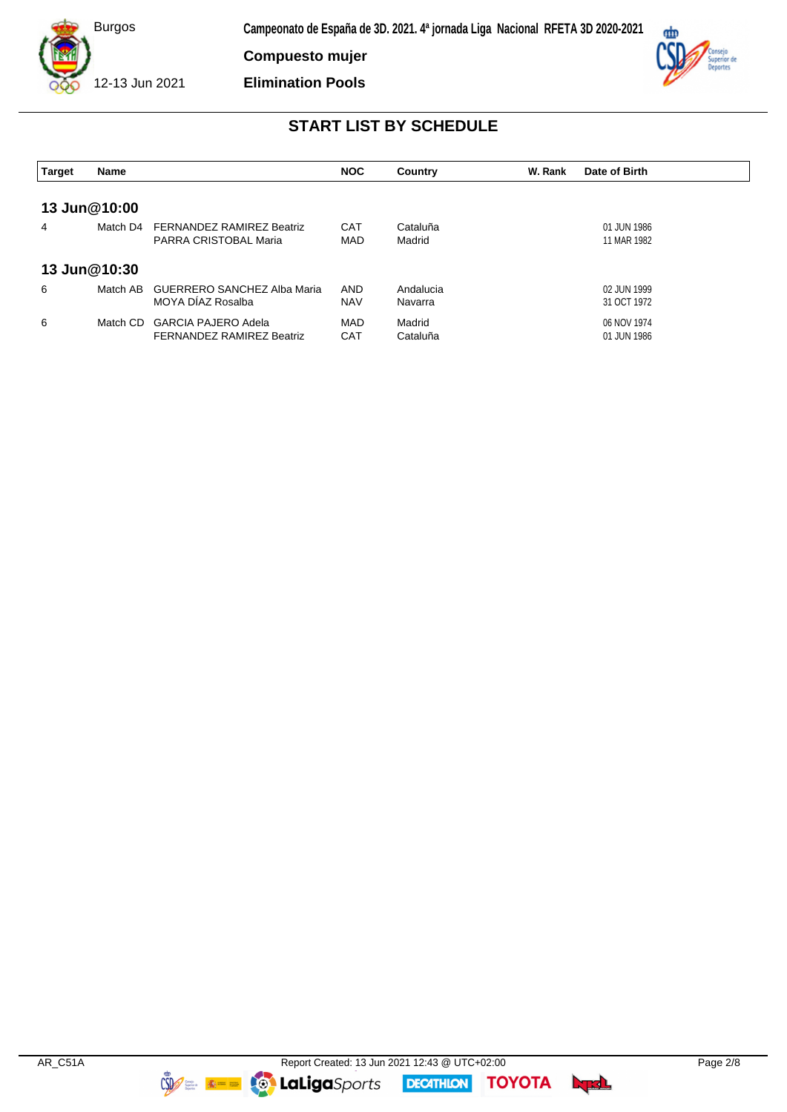

**Compuesto mujer**

**Elimination Pools**



## **START LIST BY SCHEDULE**

| <b>Target</b> | Name         |                                                                | <b>NOC</b>               | Country              | W. Rank | Date of Birth              |
|---------------|--------------|----------------------------------------------------------------|--------------------------|----------------------|---------|----------------------------|
| 13 Jun@10:00  |              |                                                                |                          |                      |         |                            |
| 4             | Match D4     | <b>FERNANDEZ RAMIREZ Beatriz</b><br>PARRA CRISTOBAL Maria      | <b>CAT</b><br>MAD        | Cataluña<br>Madrid   |         | 01 JUN 1986<br>11 MAR 1982 |
|               | 13 Jun@10:30 |                                                                |                          |                      |         |                            |
| 6             | Match AB     | <b>GUERRERO SANCHEZ Alba Maria</b><br>MOYA DIAZ Rosalba        | <b>AND</b><br><b>NAV</b> | Andalucia<br>Navarra |         | 02 JUN 1999<br>31 OCT 1972 |
| 6             | Match CD     | <b>GARCIA PAJERO Adela</b><br><b>FERNANDEZ RAMIREZ Beatriz</b> | MAD<br><b>CAT</b>        | Madrid<br>Cataluña   |         | 06 NOV 1974<br>01 JUN 1986 |

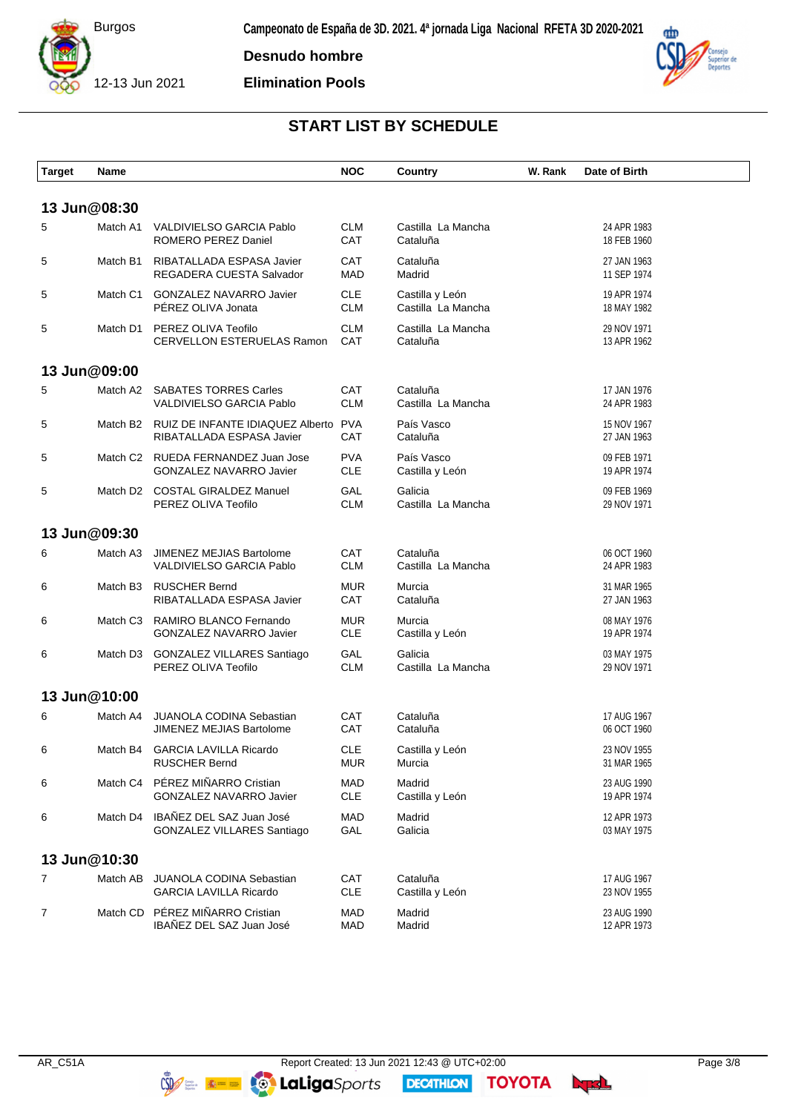

**Desnudo hombre**

**Elimination Pools**



# **START LIST BY SCHEDULE**

| <b>Target</b>  | Name         |                                                                      | <b>NOC</b>               | <b>Country</b>                        | W. Rank | Date of Birth              |
|----------------|--------------|----------------------------------------------------------------------|--------------------------|---------------------------------------|---------|----------------------------|
|                | 13 Jun@08:30 |                                                                      |                          |                                       |         |                            |
| 5              | Match A1     | VALDIVIELSO GARCIA Pablo<br>ROMERO PEREZ Daniel                      | <b>CLM</b><br>CAT        | Castilla La Mancha<br>Cataluña        |         | 24 APR 1983<br>18 FEB 1960 |
| 5              | Match B1     | RIBATALLADA ESPASA Javier<br>REGADERA CUESTA Salvador                | CAT<br><b>MAD</b>        | Cataluña<br>Madrid                    |         | 27 JAN 1963<br>11 SEP 1974 |
| 5              |              | Match C1 GONZALEZ NAVARRO Javier<br>PÉREZ OLIVA Jonata               | <b>CLE</b><br><b>CLM</b> | Castilla y León<br>Castilla La Mancha |         | 19 APR 1974<br>18 MAY 1982 |
| 5              | Match D1     | PEREZ OLIVA Teofilo<br>CERVELLON ESTERUELAS Ramon                    | <b>CLM</b><br>CAT        | Castilla La Mancha<br>Cataluña        |         | 29 NOV 1971<br>13 APR 1962 |
|                | 13 Jun@09:00 |                                                                      |                          |                                       |         |                            |
| 5              | Match A2     | <b>SABATES TORRES Carles</b><br>VALDIVIELSO GARCIA Pablo             | CAT<br><b>CLM</b>        | Cataluña<br>Castilla La Mancha        |         | 17 JAN 1976<br>24 APR 1983 |
| 5              | Match B2     | RUIZ DE INFANTE IDIAQUEZ Alberto<br>RIBATALLADA ESPASA Javier        | <b>PVA</b><br>CAT        | País Vasco<br>Cataluña                |         | 15 NOV 1967<br>27 JAN 1963 |
| 5              |              | Match C2 RUEDA FERNANDEZ Juan Jose<br><b>GONZALEZ NAVARRO Javier</b> | <b>PVA</b><br><b>CLE</b> | País Vasco<br>Castilla y León         |         | 09 FEB 1971<br>19 APR 1974 |
| 5              |              | Match D2 COSTAL GIRALDEZ Manuel<br>PEREZ OLIVA Teofilo               | GAL<br><b>CLM</b>        | Galicia<br>Castilla La Mancha         |         | 09 FEB 1969<br>29 NOV 1971 |
|                | 13 Jun@09:30 |                                                                      |                          |                                       |         |                            |
| 6              | Match A3     | JIMENEZ MEJIAS Bartolome<br>VALDIVIELSO GARCIA Pablo                 | CAT<br><b>CLM</b>        | Cataluña<br>Castilla La Mancha        |         | 06 OCT 1960<br>24 APR 1983 |
| 6              | Match B3     | <b>RUSCHER Bernd</b><br>RIBATALLADA ESPASA Javier                    | <b>MUR</b><br>CAT        | Murcia<br>Cataluña                    |         | 31 MAR 1965<br>27 JAN 1963 |
| 6              |              | Match C3 RAMIRO BLANCO Fernando<br><b>GONZALEZ NAVARRO Javier</b>    | <b>MUR</b><br><b>CLE</b> | Murcia<br>Castilla y León             |         | 08 MAY 1976<br>19 APR 1974 |
| 6              |              | Match D3 GONZALEZ VILLARES Santiago<br>PEREZ OLIVA Teofilo           | GAL<br><b>CLM</b>        | Galicia<br>Castilla La Mancha         |         | 03 MAY 1975<br>29 NOV 1971 |
|                | 13 Jun@10:00 |                                                                      |                          |                                       |         |                            |
| 6              | Match A4     | <b>JUANOLA CODINA Sebastian</b><br>JIMENEZ MEJIAS Bartolome          | CAT<br>CAT               | Cataluña<br>Cataluña                  |         | 17 AUG 1967<br>06 OCT 1960 |
| 6              |              | Match B4 GARCIA LAVILLA Ricardo<br><b>RUSCHER Bernd</b>              | <b>CLE</b><br><b>MUR</b> | Castilla y León<br>Murcia             |         | 23 NOV 1955<br>31 MAR 1965 |
| 6              |              | Match C4 PÉREZ MIÑARRO Cristian<br><b>GONZALEZ NAVARRO Javier</b>    | <b>MAD</b><br><b>CLE</b> | Madrid<br>Castilla y León             |         | 23 AUG 1990<br>19 APR 1974 |
| 6              |              | Match D4 IBAÑEZ DEL SAZ Juan José<br>GONZALEZ VILLARES Santiago      | <b>MAD</b><br>GAL        | Madrid<br>Galicia                     |         | 12 APR 1973<br>03 MAY 1975 |
|                | 13 Jun@10:30 |                                                                      |                          |                                       |         |                            |
| 7              |              | Match AB JUANOLA CODINA Sebastian<br><b>GARCIA LAVILLA Ricardo</b>   | CAT<br><b>CLE</b>        | Cataluña<br>Castilla y León           |         | 17 AUG 1967<br>23 NOV 1955 |
| $\overline{7}$ |              | Match CD PÉREZ MIÑARRO Cristian<br>IBAÑEZ DEL SAZ Juan José          | <b>MAD</b><br><b>MAD</b> | Madrid<br>Madrid                      |         | 23 AUG 1990<br>12 APR 1973 |

**DECATHION** 

**TOYOTA**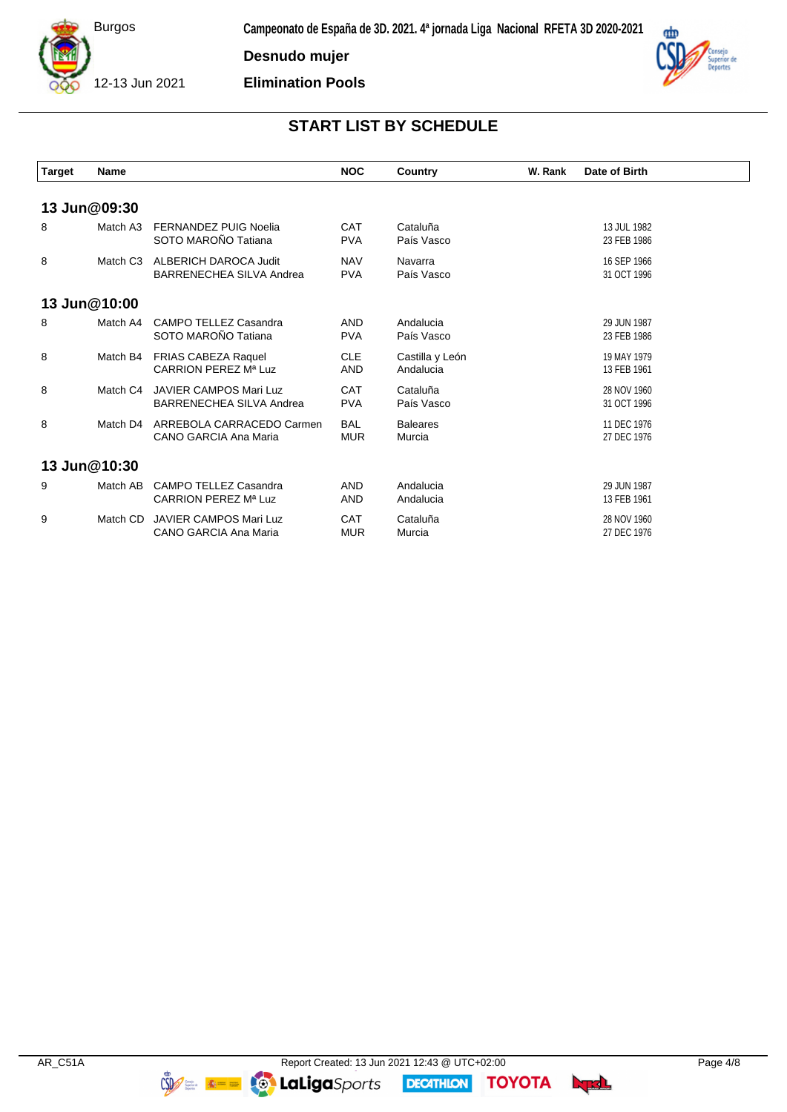

**Desnudo mujer**

**Elimination Pools**



## **START LIST BY SCHEDULE**

| <b>Target</b> | Name         |                                                           | <b>NOC</b>               | Country                      | W. Rank | Date of Birth              |
|---------------|--------------|-----------------------------------------------------------|--------------------------|------------------------------|---------|----------------------------|
|               | 13 Jun@09:30 |                                                           |                          |                              |         |                            |
| 8             | Match A3     | <b>FERNANDEZ PUIG Noelia</b><br>SOTO MAROÑO Tatiana       | <b>CAT</b><br><b>PVA</b> | Cataluña<br>País Vasco       |         | 13 JUL 1982<br>23 FEB 1986 |
| 8             | Match C3     | <b>ALBERICH DAROCA Judit</b><br>BARRENECHEA SILVA Andrea  | <b>NAV</b><br><b>PVA</b> | Navarra<br>País Vasco        |         | 16 SEP 1966<br>31 OCT 1996 |
|               | 13 Jun@10:00 |                                                           |                          |                              |         |                            |
| 8             | Match A4     | CAMPO TELLEZ Casandra<br>SOTO MAROÑO Tatiana              | <b>AND</b><br><b>PVA</b> | Andalucia<br>País Vasco      |         | 29 JUN 1987<br>23 FEB 1986 |
| 8             | Match B4     | <b>FRIAS CABEZA Raquel</b><br>CARRION PEREZ Mª Luz        | <b>CLE</b><br><b>AND</b> | Castilla y León<br>Andalucia |         | 19 MAY 1979<br>13 FEB 1961 |
| 8             | Match C4     | <b>JAVIER CAMPOS Mari Luz</b><br>BARRENECHEA SILVA Andrea | <b>CAT</b><br><b>PVA</b> | Cataluña<br>País Vasco       |         | 28 NOV 1960<br>31 OCT 1996 |
| 8             | Match D4     | ARREBOLA CARRACEDO Carmen<br>CANO GARCIA Ana Maria        | <b>BAL</b><br><b>MUR</b> | <b>Baleares</b><br>Murcia    |         | 11 DEC 1976<br>27 DEC 1976 |
|               | 13 Jun@10:30 |                                                           |                          |                              |         |                            |
| 9             | Match AB     | CAMPO TELLEZ Casandra<br>CARRION PEREZ Mª Luz             | <b>AND</b><br><b>AND</b> | Andalucia<br>Andalucia       |         | 29 JUN 1987<br>13 FEB 1961 |
| 9             | Match CD     | <b>JAVIER CAMPOS Mari Luz</b><br>CANO GARCIA Ana Maria    | <b>CAT</b><br><b>MUR</b> | Cataluña<br>Murcia           |         | 28 NOV 1960<br>27 DEC 1976 |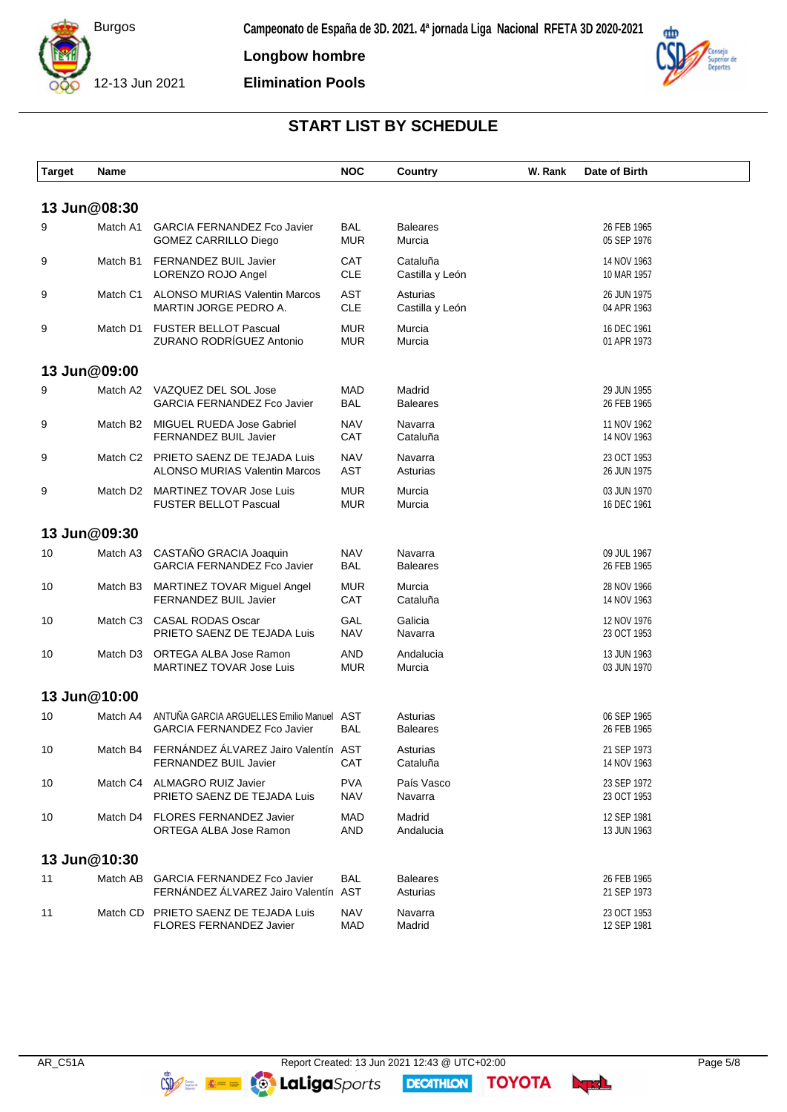

**Longbow hombre**

**Elimination Pools**



## **START LIST BY SCHEDULE**

| <b>Target</b> | Name         |                                                                              | <b>NOC</b>               | Country                     | W. Rank | Date of Birth              |  |
|---------------|--------------|------------------------------------------------------------------------------|--------------------------|-----------------------------|---------|----------------------------|--|
|               | 13 Jun@08:30 |                                                                              |                          |                             |         |                            |  |
| 9             | Match A1     | <b>GARCIA FERNANDEZ Fco Javier</b><br>GOMEZ CARRILLO Diego                   | <b>BAL</b><br><b>MUR</b> | <b>Baleares</b><br>Murcia   |         | 26 FEB 1965<br>05 SEP 1976 |  |
| 9             | Match B1     | FERNANDEZ BUIL Javier<br>LORENZO ROJO Angel                                  | <b>CAT</b><br><b>CLE</b> | Cataluña<br>Castilla y León |         | 14 NOV 1963<br>10 MAR 1957 |  |
| 9             | Match C1     | ALONSO MURIAS Valentin Marcos<br>MARTIN JORGE PEDRO A.                       | <b>AST</b><br><b>CLE</b> | Asturias<br>Castilla y León |         | 26 JUN 1975<br>04 APR 1963 |  |
| 9             |              | Match D1 FUSTER BELLOT Pascual<br>ZURANO RODRÍGUEZ Antonio                   | <b>MUR</b><br><b>MUR</b> | Murcia<br>Murcia            |         | 16 DEC 1961<br>01 APR 1973 |  |
|               | 13 Jun@09:00 |                                                                              |                          |                             |         |                            |  |
| 9             | Match A2     | VAZQUEZ DEL SOL Jose<br><b>GARCIA FERNANDEZ Fco Javier</b>                   | <b>MAD</b><br><b>BAL</b> | Madrid<br><b>Baleares</b>   |         | 29 JUN 1955<br>26 FEB 1965 |  |
| 9             | Match B2     | MIGUEL RUEDA Jose Gabriel<br><b>FERNANDEZ BUIL Javier</b>                    | <b>NAV</b><br>CAT        | Navarra<br>Cataluña         |         | 11 NOV 1962<br>14 NOV 1963 |  |
| 9             |              | Match C2 PRIETO SAENZ DE TEJADA Luis<br><b>ALONSO MURIAS Valentin Marcos</b> | <b>NAV</b><br><b>AST</b> | Navarra<br>Asturias         |         | 23 OCT 1953<br>26 JUN 1975 |  |
| 9             | Match D2     | MARTINEZ TOVAR Jose Luis<br><b>FUSTER BELLOT Pascual</b>                     | <b>MUR</b><br><b>MUR</b> | Murcia<br>Murcia            |         | 03 JUN 1970<br>16 DEC 1961 |  |
|               | 13 Jun@09:30 |                                                                              |                          |                             |         |                            |  |
| 10            | Match A3     | CASTAÑO GRACIA Joaquin<br><b>GARCIA FERNANDEZ Fco Javier</b>                 | <b>NAV</b><br><b>BAL</b> | Navarra<br><b>Baleares</b>  |         | 09 JUL 1967<br>26 FEB 1965 |  |
| 10            | Match B3     | MARTINEZ TOVAR Miguel Angel<br>FERNANDEZ BUIL Javier                         | <b>MUR</b><br>CAT        | Murcia<br>Cataluña          |         | 28 NOV 1966<br>14 NOV 1963 |  |
| 10            | Match C3     | <b>CASAL RODAS Oscar</b><br>PRIETO SAENZ DE TEJADA Luis                      | GAL<br><b>NAV</b>        | Galicia<br>Navarra          |         | 12 NOV 1976<br>23 OCT 1953 |  |
| 10            | Match D3     | ORTEGA ALBA Jose Ramon<br><b>MARTINEZ TOVAR Jose Luis</b>                    | <b>AND</b><br><b>MUR</b> | Andalucia<br>Murcia         |         | 13 JUN 1963<br>03 JUN 1970 |  |
|               | 13 Jun@10:00 |                                                                              |                          |                             |         |                            |  |
| 10            | Match A4     | ANTUÑA GARCIA ARGUELLES Emilio Manuel AST<br>GARCIA FERNANDEZ Fco Javier     | <b>BAL</b>               | Asturias<br><b>Baleares</b> |         | 06 SEP 1965<br>26 FEB 1965 |  |
| 10            |              | Match B4 FERNÁNDEZ ÁLVAREZ Jairo Valentín AST<br>FERNANDEZ BUIL Javier       | CAT                      | Asturias<br>Cataluña        |         | 21 SEP 1973<br>14 NOV 1963 |  |
| 10            |              | Match C4 ALMAGRO RUIZ Javier<br>PRIETO SAENZ DE TEJADA Luis                  | <b>PVA</b><br><b>NAV</b> | País Vasco<br>Navarra       |         | 23 SEP 1972<br>23 OCT 1953 |  |
| 10            |              | Match D4 FLORES FERNANDEZ Javier<br>ORTEGA ALBA Jose Ramon                   | MAD<br><b>AND</b>        | Madrid<br>Andalucia         |         | 12 SEP 1981<br>13 JUN 1963 |  |
|               | 13 Jun@10:30 |                                                                              |                          |                             |         |                            |  |
| 11            | Match AB     | <b>GARCIA FERNANDEZ Fco Javier</b><br>FERNÁNDEZ ÁLVAREZ Jairo Valentín AST   | <b>BAL</b>               | <b>Baleares</b><br>Asturias |         | 26 FEB 1965<br>21 SEP 1973 |  |
| 11            |              | Match CD PRIETO SAENZ DE TEJADA Luis<br>FLORES FERNANDEZ Javier              | <b>NAV</b><br><b>MAD</b> | Navarra<br>Madrid           |         | 23 OCT 1953<br>12 SEP 1981 |  |

**DECATHION** 

**TOYOTA**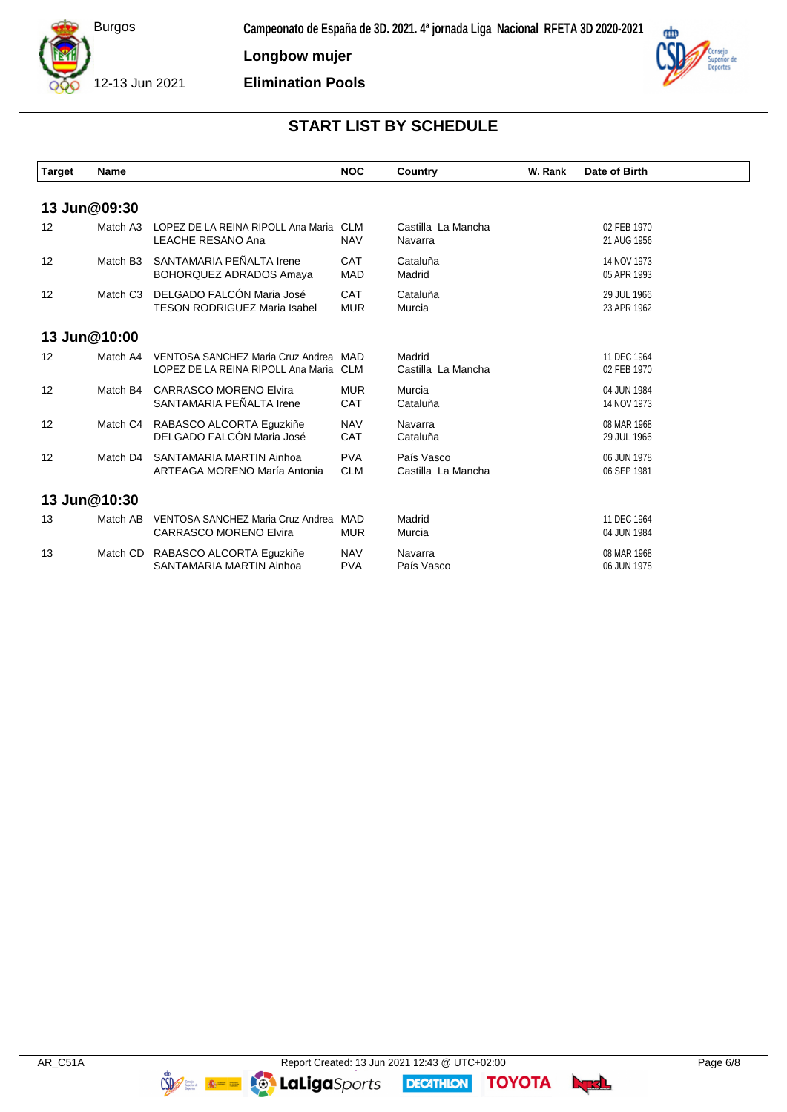

**Longbow mujer**

**Elimination Pools**



 $\overline{\phantom{a}}$ 

# **START LIST BY SCHEDULE**

| <b>Target</b>     | <b>Name</b>          |                                                                                 | <b>NOC</b>               | Country                          | W. Rank | Date of Birth              |
|-------------------|----------------------|---------------------------------------------------------------------------------|--------------------------|----------------------------------|---------|----------------------------|
|                   |                      |                                                                                 |                          |                                  |         |                            |
|                   | 13 Jun@09:30         |                                                                                 |                          |                                  |         |                            |
| $12 \overline{ }$ | Match A3             | LOPEZ DE LA REINA RIPOLL Ana Maria<br><b>LEACHE RESANO Ana</b>                  | <b>CLM</b><br><b>NAV</b> | Castilla La Mancha<br>Navarra    |         | 02 FEB 1970<br>21 AUG 1956 |
| 12                | Match B <sub>3</sub> | SANTAMARIA PEÑALTA Irene<br><b>BOHORQUEZ ADRADOS Amaya</b>                      | CAT<br><b>MAD</b>        | Cataluña<br>Madrid               |         | 14 NOV 1973<br>05 APR 1993 |
| 12                | Match C <sub>3</sub> | DELGADO FALCÓN Maria José<br><b>TESON RODRIGUEZ Maria Isabel</b>                | <b>CAT</b><br><b>MUR</b> | Cataluña<br>Murcia               |         | 29 JUL 1966<br>23 APR 1962 |
|                   | 13 Jun@10:00         |                                                                                 |                          |                                  |         |                            |
| $12 \overline{ }$ | Match A4             | VENTOSA SANCHEZ Maria Cruz Andrea MAD<br>LOPEZ DE LA REINA RIPOLL Ana Maria CLM |                          | Madrid<br>Castilla La Mancha     |         | 11 DEC 1964<br>02 FEB 1970 |
| $12 \overline{ }$ | Match B4             | <b>CARRASCO MORENO Elvira</b><br>SANTAMARIA PEÑALTA Irene                       | <b>MUR</b><br><b>CAT</b> | Murcia<br>Cataluña               |         | 04 JUN 1984<br>14 NOV 1973 |
| $12 \overline{ }$ |                      | Match C4 RABASCO ALCORTA Eguzkiñe<br>DELGADO FALCÓN Maria José                  | <b>NAV</b><br><b>CAT</b> | Navarra<br>Cataluña              |         | 08 MAR 1968<br>29 JUL 1966 |
| 12                | Match D4             | SANTAMARIA MARTIN Ainhoa<br>ARTEAGA MORENO María Antonia                        | <b>PVA</b><br><b>CLM</b> | País Vasco<br>Castilla La Mancha |         | 06 JUN 1978<br>06 SEP 1981 |
|                   | 13 Jun@10:30         |                                                                                 |                          |                                  |         |                            |
| 13                | Match AB             | VENTOSA SANCHEZ Maria Cruz Andrea MAD<br><b>CARRASCO MORENO Elvira</b>          | <b>MUR</b>               | Madrid<br>Murcia                 |         | 11 DEC 1964<br>04 JUN 1984 |
| 13                |                      | Match CD RABASCO ALCORTA Equzkiñe<br>SANTAMARIA MARTIN Ainhoa                   | <b>NAV</b><br><b>PVA</b> | Navarra<br>País Vasco            |         | 08 MAR 1968<br>06 JUN 1978 |

**DECATHLON**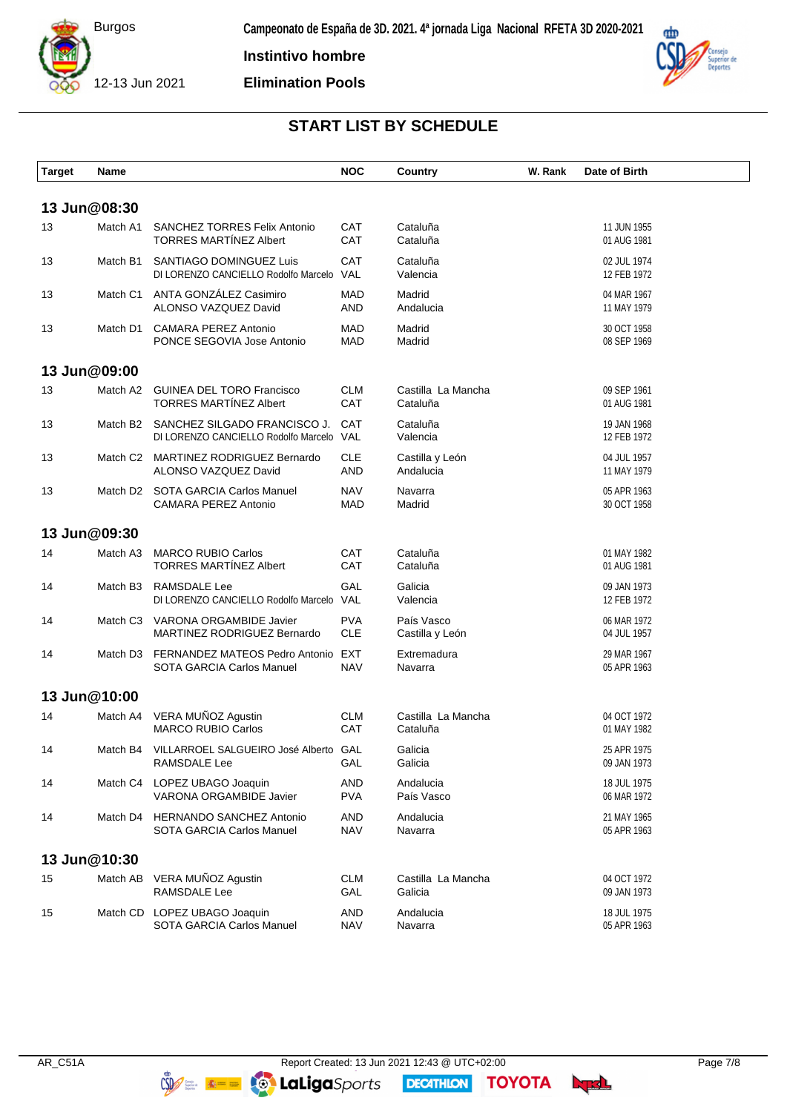

**Instintivo hombre**

**Elimination Pools**



# **START LIST BY SCHEDULE**

| <b>Target</b> | Name         |                                                                          | <b>NOC</b>               | <b>Country</b>                 | W. Rank | Date of Birth              |
|---------------|--------------|--------------------------------------------------------------------------|--------------------------|--------------------------------|---------|----------------------------|
|               | 13 Jun@08:30 |                                                                          |                          |                                |         |                            |
| 13            | Match A1     | <b>SANCHEZ TORRES Felix Antonio</b><br><b>TORRES MARTÍNEZ Albert</b>     | CAT<br>CAT               | Cataluña<br>Cataluña           |         | 11 JUN 1955<br>01 AUG 1981 |
| 13            | Match B1     | SANTIAGO DOMINGUEZ Luis<br>DI LORENZO CANCIELLO Rodolfo Marcelo VAL      | CAT                      | Cataluña<br>Valencia           |         | 02 JUL 1974<br>12 FEB 1972 |
| 13            | Match C1     | ANTA GONZÁLEZ Casimiro<br>ALONSO VAZQUEZ David                           | <b>MAD</b><br><b>AND</b> | Madrid<br>Andalucia            |         | 04 MAR 1967<br>11 MAY 1979 |
| 13            | Match D1     | <b>CAMARA PEREZ Antonio</b><br>PONCE SEGOVIA Jose Antonio                | <b>MAD</b><br><b>MAD</b> | Madrid<br>Madrid               |         | 30 OCT 1958<br>08 SEP 1969 |
|               | 13 Jun@09:00 |                                                                          |                          |                                |         |                            |
| 13            | Match A2     | <b>GUINEA DEL TORO Francisco</b><br><b>TORRES MARTÍNEZ Albert</b>        | <b>CLM</b><br>CAT        | Castilla La Mancha<br>Cataluña |         | 09 SEP 1961<br>01 AUG 1981 |
| 13            | Match B2     | SANCHEZ SILGADO FRANCISCO J.<br>DI LORENZO CANCIELLO Rodolfo Marcelo VAL | <b>CAT</b>               | Cataluña<br>Valencia           |         | 19 JAN 1968<br>12 FEB 1972 |
| 13            |              | Match C2 MARTINEZ RODRIGUEZ Bernardo<br>ALONSO VAZQUEZ David             | <b>CLE</b><br><b>AND</b> | Castilla y León<br>Andalucia   |         | 04 JUL 1957<br>11 MAY 1979 |
| 13            |              | Match D2 SOTA GARCIA Carlos Manuel<br><b>CAMARA PEREZ Antonio</b>        | <b>NAV</b><br><b>MAD</b> | Navarra<br>Madrid              |         | 05 APR 1963<br>30 OCT 1958 |
|               | 13 Jun@09:30 |                                                                          |                          |                                |         |                            |
| 14            | Match A3     | <b>MARCO RUBIO Carlos</b><br><b>TORRES MARTÍNEZ Albert</b>               | CAT<br>CAT               | Cataluña<br>Cataluña           |         | 01 MAY 1982<br>01 AUG 1981 |
| 14            | Match B3     | RAMSDALE Lee<br>DI LORENZO CANCIELLO Rodolfo Marcelo VAL                 | GAL                      | Galicia<br>Valencia            |         | 09 JAN 1973<br>12 FEB 1972 |
| 14            | Match C3     | VARONA ORGAMBIDE Javier<br>MARTINEZ RODRIGUEZ Bernardo                   | <b>PVA</b><br><b>CLE</b> | País Vasco<br>Castilla y León  |         | 06 MAR 1972<br>04 JUL 1957 |
| 14            | Match D3     | FERNANDEZ MATEOS Pedro Antonio EXT<br>SOTA GARCIA Carlos Manuel          | <b>NAV</b>               | Extremadura<br>Navarra         |         | 29 MAR 1967<br>05 APR 1963 |
|               | 13 Jun@10:00 |                                                                          |                          |                                |         |                            |
| 14            | Match A4     | VERA MUÑOZ Agustin<br><b>MARCO RUBIO Carlos</b>                          | <b>CLM</b><br>CAT        | Castilla La Mancha<br>Cataluña |         | 04 OCT 1972<br>01 MAY 1982 |
| 14            |              | Match B4 VILLARROEL SALGUEIRO José Alberto GAL<br>RAMSDALE Lee           | GAL                      | Galicia<br>Galicia             |         | 25 APR 1975<br>09 JAN 1973 |
| 14            |              | Match C4 LOPEZ UBAGO Joaquin<br>VARONA ORGAMBIDE Javier                  | <b>AND</b><br><b>PVA</b> | Andalucia<br>País Vasco        |         | 18 JUL 1975<br>06 MAR 1972 |
| 14            | Match D4     | <b>HERNANDO SANCHEZ Antonio</b><br>SOTA GARCIA Carlos Manuel             | <b>AND</b><br><b>NAV</b> | Andalucia<br>Navarra           |         | 21 MAY 1965<br>05 APR 1963 |
|               | 13 Jun@10:30 |                                                                          |                          |                                |         |                            |
| 15            |              | Match AB VERA MUÑOZ Agustin<br>RAMSDALE Lee                              | <b>CLM</b><br>GAL        | Castilla La Mancha<br>Galicia  |         | 04 OCT 1972<br>09 JAN 1973 |
| 15            |              | Match CD LOPEZ UBAGO Joaquin<br>SOTA GARCIA Carlos Manuel                | <b>AND</b><br><b>NAV</b> | Andalucia<br>Navarra           |         | 18 JUL 1975<br>05 APR 1963 |

**DECATHION** 

**TOYOTA**